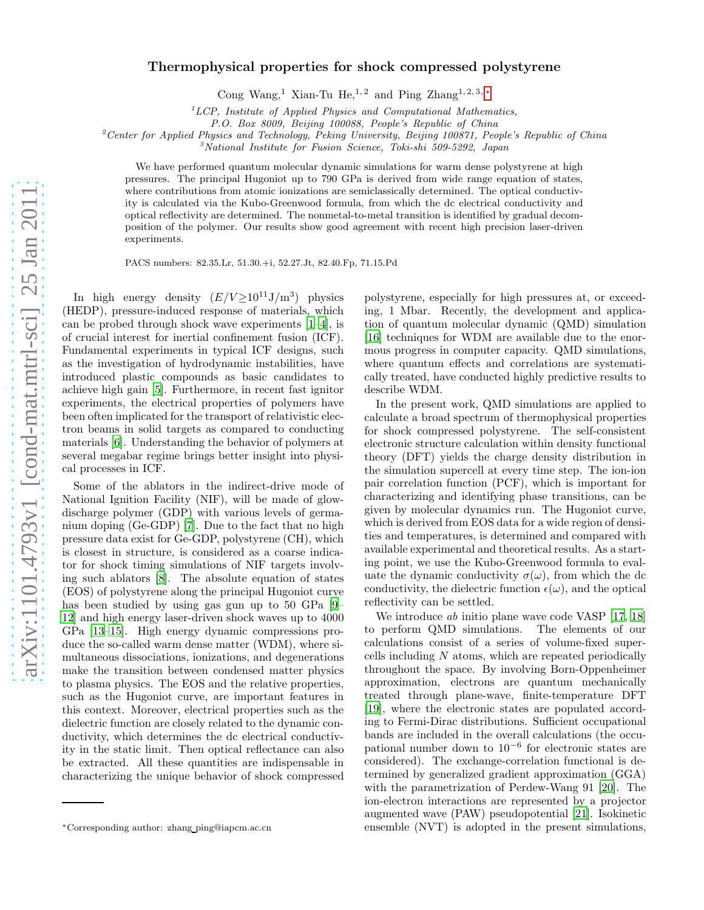## Thermophysical properties for shock compressed polystyrene

Cong Wang,<sup>1</sup> Xian-Tu He,<sup>1,2</sup> and Ping Zhang<sup>1,2,3,\*</sup>

<sup>1</sup>*LCP, Institute of Applied Physics and Computational Mathematics,*

*P.O. Box 8009, Beijing 100088, People's Republic of China*

<sup>2</sup>*Center for Applied Physics and Technology, Peking University, Beijing 100871, People's Republic of China*

<sup>3</sup>*National Institute for Fusion Science, Toki-shi 509-5292, Japan*

We have performed quantum molecular dynamic simulations for warm dense polystyrene at high pressures. The principal Hugoniot up to 790 GPa is derived from wide range equation of states, where contributions from atomic ionizations are semiclassically determined. The optical conductivity is calculated via the Kubo-Greenwood formula, from which the dc electrical conductivity and optical reflectivity are determined. The nonmetal-to-metal transition is identified by gradual decomposition of the polymer. Our results show good agreement with recent high precision laser-driven experiments.

PACS numbers: 82.35.Lr, 51.30.+i, 52.27.Jt, 82.40.Fp, 71.15.Pd

In high energy density  $(E/V \ge 10^{11} \text{J/m}^3)$  physics (HEDP), pressure-induced response of materials, which can be probed through shock wave experiments [\[1](#page-3-0)[–4](#page-3-1)], is of crucial interest for inertial confinement fusion (ICF). Fundamental experiments in typical ICF designs, such as the investigation of hydrodynamic instabilities, have introduced plastic compounds as basic candidates to achieve high gain [\[5\]](#page-3-2). Furthermore, in recent fast ignitor experiments, the electrical properties of polymers have been often implicated for the transport of relativistic electron beams in solid targets as compared to conducting materials [\[6](#page-3-3)]. Understanding the behavior of polymers at several megabar regime brings better insight into physical processes in ICF.

Some of the ablators in the indirect-drive mode of National Ignition Facility (NIF), will be made of glowdischarge polymer (GDP) with various levels of germanium doping (Ge-GDP) [\[7\]](#page-3-4). Due to the fact that no high pressure data exist for Ge-GDP, polystyrene (CH), which is closest in structure, is considered as a coarse indicator for shock timing simulations of NIF targets involving such ablators [\[8](#page-3-5)]. The absolute equation of states (EOS) of polystyrene along the principal Hugoniot curve has been studied by using gas gun up to 50 GPa [\[9](#page-3-6)– [12\]](#page-3-7) and high energy laser-driven shock waves up to 4000 GPa [\[13](#page-3-8)[–15\]](#page-3-9). High energy dynamic compressions produce the so-called warm dense matter (WDM), where simultaneous dissociations, ionizations, and degenerations make the transition between condensed matter physics to plasma physics. The EOS and the relative properties, such as the Hugoniot curve, are important features in this context. Moreover, electrical properties such as the dielectric function are closely related to the dynamic conductivity, which determines the dc electrical conductivity in the static limit. Then optical reflectance can also be extracted. All these quantities are indispensable in characterizing the unique behavior of shock compressed

polystyrene, especially for high pressures at, or exceeding, 1 Mbar. Recently, the development and application of quantum molecular dynamic (QMD) simulation [\[16\]](#page-3-10) techniques for WDM are available due to the enormous progress in computer capacity. QMD simulations, where quantum effects and correlations are systematically treated, have conducted highly predictive results to describe WDM.

In the present work, QMD simulations are applied to calculate a broad spectrum of thermophysical properties for shock compressed polystyrene. The self-consistent electronic structure calculation within density functional theory (DFT) yields the charge density distribution in the simulation supercell at every time step. The ion-ion pair correlation function (PCF), which is important for characterizing and identifying phase transitions, can be given by molecular dynamics run. The Hugoniot curve, which is derived from EOS data for a wide region of densities and temperatures, is determined and compared with available experimental and theoretical results. As a starting point, we use the Kubo-Greenwood formula to evaluate the dynamic conductivity  $\sigma(\omega)$ , from which the dc conductivity, the dielectric function  $\epsilon(\omega)$ , and the optical reflectivity can be settled.

We introduce *ab* initio plane wave code VASP [\[17](#page-4-0), [18](#page-4-1)] to perform QMD simulations. The elements of our calculations consist of a series of volume-fixed supercells including  $N$  atoms, which are repeated periodically throughout the space. By involving Born-Oppenheimer approximation, electrons are quantum mechanically treated through plane-wave, finite-temperature DFT [\[19\]](#page-4-2), where the electronic states are populated according to Fermi-Dirac distributions. Sufficient occupational bands are included in the overall calculations (the occupational number down to 10<sup>−</sup><sup>6</sup> for electronic states are considered). The exchange-correlation functional is determined by generalized gradient approximation (GGA) with the parametrization of Perdew-Wang 91 [\[20\]](#page-4-3). The ion-electron interactions are represented by a projector augmented wave (PAW) pseudopotential [\[21\]](#page-4-4). Isokinetic ensemble (NVT) is adopted in the present simulations,

<span id="page-0-0"></span><sup>∗</sup>Corresponding author: zhang ping@iapcm.ac.cn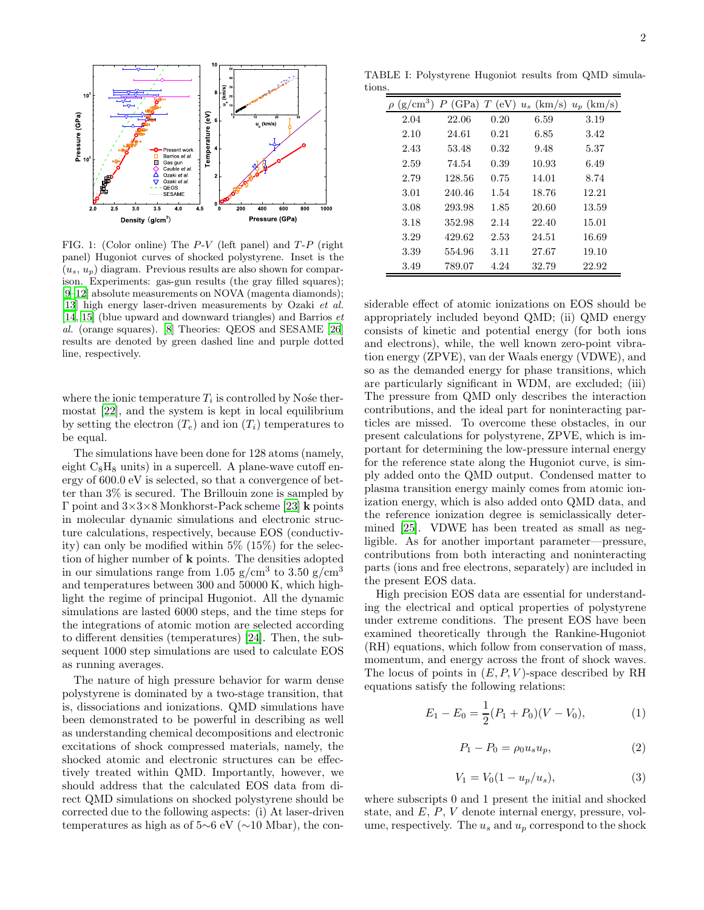

<span id="page-1-2"></span>FIG. 1: (Color online) The  $P-V$  (left panel) and  $T-P$  (right panel) Hugoniot curves of shocked polystyrene. Inset is the  $(u_s, u_n)$  diagram. Previous results are also shown for comparison. Experiments: gas-gun results (the gray filled squares); [\[9](#page-3-6)[–12](#page-3-7)] absolute measurements on NOVA (magenta diamonds); [\[13\]](#page-3-8) high energy laser-driven measurements by Ozaki *et al.* [\[14,](#page-3-11) [15](#page-3-9)] (blue upward and downward triangles) and Barrios *et al.* (orange squares). [\[8](#page-3-5)] Theories: QEOS and SESAME [\[26](#page-4-5)] results are denoted by green dashed line and purple dotted line, respectively.

where the ionic temperature  $T_i$  is controlled by Nośe thermostat [\[22\]](#page-4-6), and the system is kept in local equilibrium by setting the electron  $(T_e)$  and ion  $(T_i)$  temperatures to be equal.

The simulations have been done for 128 atoms (namely, eight  $C_8H_8$  units) in a supercell. A plane-wave cutoff energy of 600.0 eV is selected, so that a convergence of better than 3% is secured. The Brillouin zone is sampled by Γ point and  $3\times3\times8$  Monkhorst-Pack scheme [\[23\]](#page-4-7) **k** points in molecular dynamic simulations and electronic structure calculations, respectively, because EOS (conductivity) can only be modified within 5% (15%) for the selection of higher number of k points. The densities adopted in our simulations range from 1.05 g/cm<sup>3</sup> to 3.50 g/cm<sup>3</sup> and temperatures between 300 and 50000 K, which highlight the regime of principal Hugoniot. All the dynamic simulations are lasted 6000 steps, and the time steps for the integrations of atomic motion are selected according to different densities (temperatures) [\[24\]](#page-4-8). Then, the subsequent 1000 step simulations are used to calculate EOS as running averages.

The nature of high pressure behavior for warm dense polystyrene is dominated by a two-stage transition, that is, dissociations and ionizations. QMD simulations have been demonstrated to be powerful in describing as well as understanding chemical decompositions and electronic excitations of shock compressed materials, namely, the shocked atomic and electronic structures can be effectively treated within QMD. Importantly, however, we should address that the calculated EOS data from direct QMD simulations on shocked polystyrene should be corrected due to the following aspects: (i) At laser-driven temperatures as high as of 5∼6 eV (∼10 Mbar), the con-

TABLE I: Polystyrene Hugoniot results from QMD simulations.

<span id="page-1-1"></span>

| $(g/cm^3)$ | (GPa)<br>Р | T<br>(eV) | $u_s$ (km/s) | $u_p$ (km/s) |
|------------|------------|-----------|--------------|--------------|
| 2.04       | 22.06      | 0.20      | 6.59         | 3.19         |
| 2.10       | 24.61      | 0.21      | 6.85         | 3.42         |
| 2.43       | 53.48      | 0.32      | 9.48         | 5.37         |
| 2.59       | 74.54      | 0.39      | 10.93        | 6.49         |
| 2.79       | 128.56     | 0.75      | 14.01        | 8.74         |
| 3.01       | 240.46     | 1.54      | 18.76        | 12.21        |
| 3.08       | 293.98     | 1.85      | 20.60        | 13.59        |
| 3.18       | 352.98     | 2.14      | 22.40        | 15.01        |
| 3.29       | 429.62     | 2.53      | 24.51        | 16.69        |
| 3.39       | 554.96     | 3.11      | 27.67        | 19.10        |
| 3.49       | 789.07     | 4.24      | 32.79        | 22.92        |

siderable effect of atomic ionizations on EOS should be appropriately included beyond QMD; (ii) QMD energy consists of kinetic and potential energy (for both ions and electrons), while, the well known zero-point vibration energy (ZPVE), van der Waals energy (VDWE), and so as the demanded energy for phase transitions, which are particularly significant in WDM, are excluded; (iii) The pressure from QMD only describes the interaction contributions, and the ideal part for noninteracting particles are missed. To overcome these obstacles, in our present calculations for polystyrene, ZPVE, which is important for determining the low-pressure internal energy for the reference state along the Hugoniot curve, is simply added onto the QMD output. Condensed matter to plasma transition energy mainly comes from atomic ionization energy, which is also added onto QMD data, and the reference ionization degree is semiclassically determined [\[25\]](#page-4-9). VDWE has been treated as small as negligible. As for another important parameter—pressure, contributions from both interacting and noninteracting parts (ions and free electrons, separately) are included in the present EOS data.

High precision EOS data are essential for understanding the electrical and optical properties of polystyrene under extreme conditions. The present EOS have been examined theoretically through the Rankine-Hugoniot (RH) equations, which follow from conservation of mass, momentum, and energy across the front of shock waves. The locus of points in  $(E, P, V)$ -space described by RH equations satisfy the following relations:

<span id="page-1-0"></span>
$$
E_1 - E_0 = \frac{1}{2}(P_1 + P_0)(V - V_0),
$$
 (1)

$$
P_1 - P_0 = \rho_0 u_s u_p,\tag{2}
$$

$$
V_1 = V_0(1 - u_p/u_s), \tag{3}
$$

where subscripts 0 and 1 present the initial and shocked state, and E, P, V denote internal energy, pressure, volume, respectively. The  $u_s$  and  $u_p$  correspond to the shock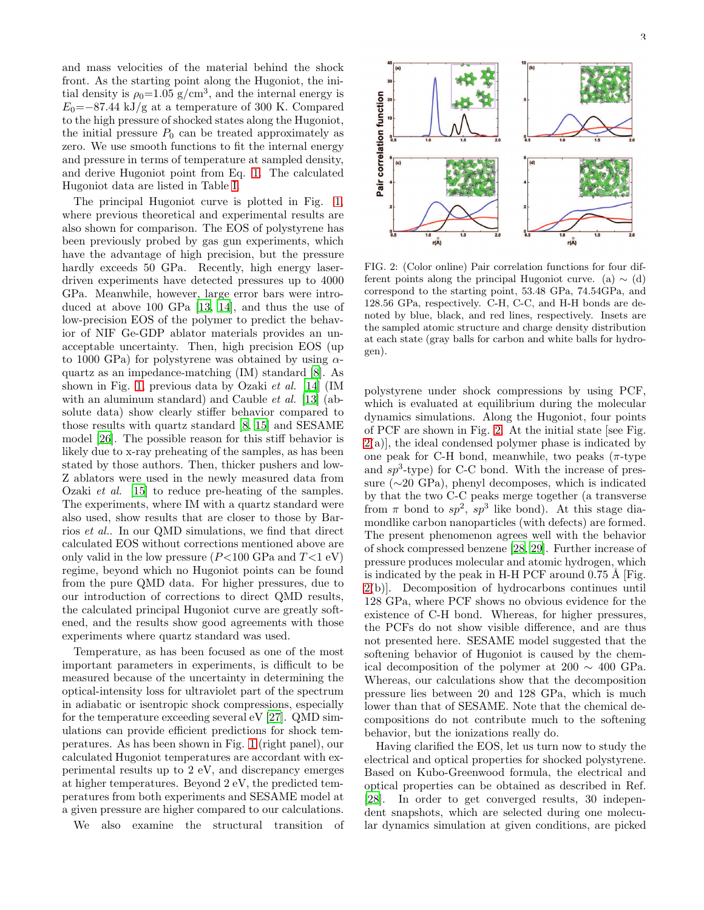and mass velocities of the material behind the shock front. As the starting point along the Hugoniot, the initial density is  $\rho_0 = 1.05$  g/cm<sup>3</sup>, and the internal energy is  $E_0$ =−87.44 kJ/g at a temperature of 300 K. Compared to the high pressure of shocked states along the Hugoniot, the initial pressure  $P_0$  can be treated approximately as zero. We use smooth functions to fit the internal energy and pressure in terms of temperature at sampled density, and derive Hugoniot point from Eq. [1.](#page-1-0) The calculated Hugoniot data are listed in Table [I.](#page-1-1)

The principal Hugoniot curve is plotted in Fig. [1,](#page-1-2) where previous theoretical and experimental results are also shown for comparison. The EOS of polystyrene has been previously probed by gas gun experiments, which have the advantage of high precision, but the pressure hardly exceeds 50 GPa. Recently, high energy laserdriven experiments have detected pressures up to 4000 GPa. Meanwhile, however, large error bars were introduced at above 100 GPa [\[13,](#page-3-8) [14](#page-3-11)], and thus the use of low-precision EOS of the polymer to predict the behavior of NIF Ge-GDP ablator materials provides an unacceptable uncertainty. Then, high precision EOS (up to 1000 GPa) for polystyrene was obtained by using  $\alpha$ quartz as an impedance-matching (IM) standard [\[8\]](#page-3-5). As shown in Fig. [1,](#page-1-2) previous data by Ozaki et al. [\[14](#page-3-11)] (IM with an aluminum standard) and Cauble  $et \ al.$  [\[13](#page-3-8)] (absolute data) show clearly stiffer behavior compared to those results with quartz standard [\[8,](#page-3-5) [15](#page-3-9)] and SESAME model [\[26\]](#page-4-5). The possible reason for this stiff behavior is likely due to x-ray preheating of the samples, as has been stated by those authors. Then, thicker pushers and low-Z ablators were used in the newly measured data from Ozaki et al. [\[15](#page-3-9)] to reduce pre-heating of the samples. The experiments, where IM with a quartz standard were also used, show results that are closer to those by Barrios et al.. In our QMD simulations, we find that direct calculated EOS without corrections mentioned above are only valid in the low pressure  $(P<100 \text{ GPa}$  and  $T<1 \text{ eV}$ ) regime, beyond which no Hugoniot points can be found from the pure QMD data. For higher pressures, due to our introduction of corrections to direct QMD results, the calculated principal Hugoniot curve are greatly softened, and the results show good agreements with those experiments where quartz standard was used.

Temperature, as has been focused as one of the most important parameters in experiments, is difficult to be measured because of the uncertainty in determining the optical-intensity loss for ultraviolet part of the spectrum in adiabatic or isentropic shock compressions, especially for the temperature exceeding several eV [\[27](#page-4-10)]. QMD simulations can provide efficient predictions for shock temperatures. As has been shown in Fig. [1](#page-1-2) (right panel), our calculated Hugoniot temperatures are accordant with experimental results up to 2 eV, and discrepancy emerges at higher temperatures. Beyond 2 eV, the predicted temperatures from both experiments and SESAME model at a given pressure are higher compared to our calculations.

We also examine the structural transition of



<span id="page-2-0"></span>FIG. 2: (Color online) Pair correlation functions for four different points along the principal Hugoniot curve. (a)  $\sim$  (d) correspond to the starting point, 53.48 GPa, 74.54GPa, and 128.56 GPa, respectively. C-H, C-C, and H-H bonds are denoted by blue, black, and red lines, respectively. Insets are the sampled atomic structure and charge density distribution at each state (gray balls for carbon and white balls for hydrogen).

polystyrene under shock compressions by using PCF, which is evaluated at equilibrium during the molecular dynamics simulations. Along the Hugoniot, four points of PCF are shown in Fig. [2.](#page-2-0) At the initial state [see Fig.  $2(a)$  $2(a)$ , the ideal condensed polymer phase is indicated by one peak for C-H bond, meanwhile, two peaks  $(\pi$ -type and  $sp^3$ -type) for C-C bond. With the increase of pressure (∼20 GPa), phenyl decomposes, which is indicated by that the two C-C peaks merge together (a transverse from  $\pi$  bond to  $sp^2$ ,  $sp^3$  like bond). At this stage diamondlike carbon nanoparticles (with defects) are formed. The present phenomenon agrees well with the behavior of shock compressed benzene [\[28,](#page-4-11) [29\]](#page-4-12). Further increase of pressure produces molecular and atomic hydrogen, which is indicated by the peak in H-H PCF around  $0.75 \text{ Å}$  [Fig. [2\(](#page-2-0)b)]. Decomposition of hydrocarbons continues until 128 GPa, where PCF shows no obvious evidence for the existence of C-H bond. Whereas, for higher pressures, the PCFs do not show visible difference, and are thus not presented here. SESAME model suggested that the softening behavior of Hugoniot is caused by the chemical decomposition of the polymer at 200  $\sim$  400 GPa. Whereas, our calculations show that the decomposition pressure lies between 20 and 128 GPa, which is much lower than that of SESAME. Note that the chemical decompositions do not contribute much to the softening behavior, but the ionizations really do.

Having clarified the EOS, let us turn now to study the electrical and optical properties for shocked polystyrene. Based on Kubo-Greenwood formula, the electrical and optical properties can be obtained as described in Ref. [\[28\]](#page-4-11). In order to get converged results, 30 independent snapshots, which are selected during one molecular dynamics simulation at given conditions, are picked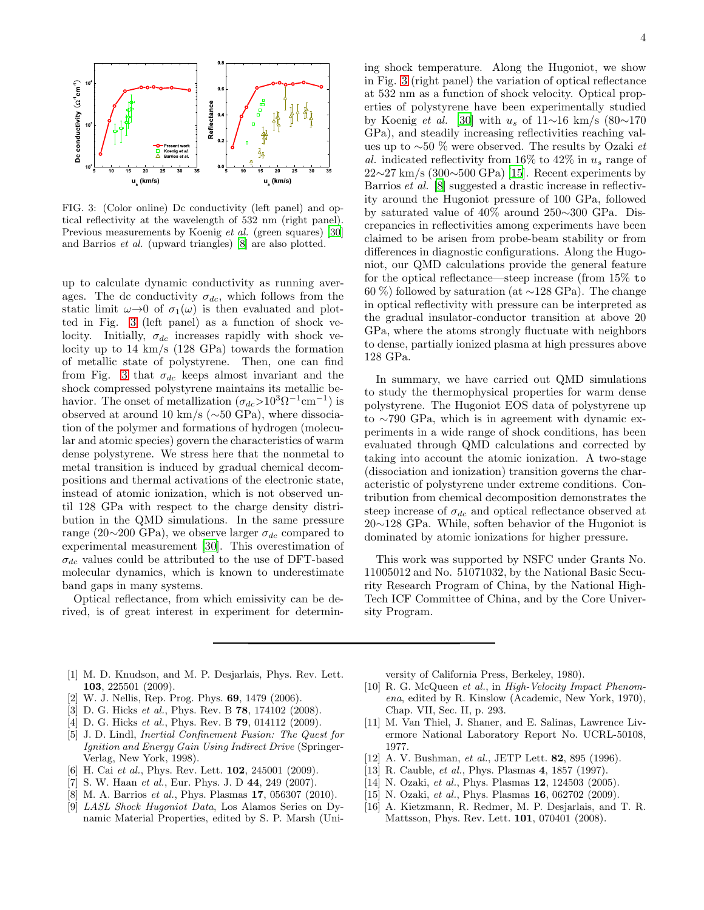

<span id="page-3-12"></span>FIG. 3: (Color online) Dc conductivity (left panel) and optical reflectivity at the wavelength of 532 nm (right panel). Previous measurements by Koenig *et al.* (green squares) [\[30](#page-4-13)] and Barrios *et al.* (upward triangles) [\[8](#page-3-5)] are also plotted.

up to calculate dynamic conductivity as running averages. The dc conductivity  $\sigma_{dc}$ , which follows from the static limit  $\omega \rightarrow 0$  of  $\sigma_1(\omega)$  is then evaluated and plotted in Fig. [3](#page-3-12) (left panel) as a function of shock velocity. Initially,  $\sigma_{dc}$  increases rapidly with shock velocity up to 14 km/s (128 GPa) towards the formation of metallic state of polystyrene. Then, one can find from Fig. [3](#page-3-12) that  $\sigma_{dc}$  keeps almost invariant and the shock compressed polystyrene maintains its metallic behavior. The onset of metallization  $(\sigma_{dc} > 10^{3} \Omega^{-1} \text{cm}^{-1})$  is observed at around 10 km/s (∼50 GPa), where dissociation of the polymer and formations of hydrogen (molecular and atomic species) govern the characteristics of warm dense polystyrene. We stress here that the nonmetal to metal transition is induced by gradual chemical decompositions and thermal activations of the electronic state, instead of atomic ionization, which is not observed until 128 GPa with respect to the charge density distribution in the QMD simulations. In the same pressure range (20∼200 GPa), we observe larger  $\sigma_{dc}$  compared to experimental measurement [\[30](#page-4-13)]. This overestimation of  $\sigma_{dc}$  values could be attributed to the use of DFT-based molecular dynamics, which is known to underestimate band gaps in many systems.

Optical reflectance, from which emissivity can be derived, is of great interest in experiment for determining shock temperature. Along the Hugoniot, we show in Fig. [3](#page-3-12) (right panel) the variation of optical reflectance at 532 nm as a function of shock velocity. Optical properties of polystyrene have been experimentally studied by Koenig et al. [\[30\]](#page-4-13) with  $u_s$  of 11∼16 km/s (80∼170 GPa), and steadily increasing reflectivities reaching values up to ∼50 % were observed. The results by Ozaki et al. indicated reflectivity from 16% to 42% in  $u_s$  range of  $22\sim27 \text{ km/s}$  (300 $\sim$ 500 GPa) [\[15\]](#page-3-9). Recent experiments by Barrios et al. [\[8](#page-3-5)] suggested a drastic increase in reflectivity around the Hugoniot pressure of 100 GPa, followed by saturated value of 40% around 250∼300 GPa. Discrepancies in reflectivities among experiments have been claimed to be arisen from probe-beam stability or from differences in diagnostic configurations. Along the Hugoniot, our QMD calculations provide the general feature for the optical reflectance—steep increase (from 15% to 60 %) followed by saturation (at ∼128 GPa). The change in optical reflectivity with pressure can be interpreted as the gradual insulator-conductor transition at above 20 GPa, where the atoms strongly fluctuate with neighbors to dense, partially ionized plasma at high pressures above 128 GPa.

In summary, we have carried out QMD simulations to study the thermophysical properties for warm dense polystyrene. The Hugoniot EOS data of polystyrene up to ∼790 GPa, which is in agreement with dynamic experiments in a wide range of shock conditions, has been evaluated through QMD calculations and corrected by taking into account the atomic ionization. A two-stage (dissociation and ionization) transition governs the characteristic of polystyrene under extreme conditions. Contribution from chemical decomposition demonstrates the steep increase of  $\sigma_{dc}$  and optical reflectance observed at 20∼128 GPa. While, soften behavior of the Hugoniot is dominated by atomic ionizations for higher pressure.

This work was supported by NSFC under Grants No. 11005012 and No. 51071032, by the National Basic Security Research Program of China, by the National High-Tech ICF Committee of China, and by the Core University Program.

- <span id="page-3-0"></span>[1] M. D. Knudson, and M. P. Desjarlais, Phys. Rev. Lett. 103, 225501 (2009).
- [2] W. J. Nellis, Rep. Prog. Phys. 69, 1479 (2006).
- [3] D. G. Hicks *et al.*, Phys. Rev. B 78, 174102 (2008).
- <span id="page-3-1"></span>[4] D. G. Hicks *et al.*, Phys. Rev. B 79, 014112 (2009).
- <span id="page-3-2"></span>[5] J. D. Lindl, *Inertial Confinement Fusion: The Quest for Ignition and Energy Gain Using Indirect Drive* (Springer-Verlag, New York, 1998).
- <span id="page-3-3"></span>[6] H. Cai *et al.*, Phys. Rev. Lett. **102**, 245001 (2009).
- <span id="page-3-4"></span>[7] S. W. Haan *et al.*, Eur. Phys. J. D 44, 249 (2007).
- <span id="page-3-5"></span>[8] M. A. Barrios *et al.*, Phys. Plasmas 17, 056307 (2010).
- <span id="page-3-6"></span>[9] *LASL Shock Hugoniot Data*, Los Alamos Series on Dynamic Material Properties, edited by S. P. Marsh (Uni-

versity of California Press, Berkeley, 1980).

- [10] R. G. McQueen *et al.*, in *High-Velocity Impact Phenomena*, edited by R. Kinslow (Academic, New York, 1970), Chap. VII, Sec. II, p. 293.
- [11] M. Van Thiel, J. Shaner, and E. Salinas, Lawrence Livermore National Laboratory Report No. UCRL-50108, 1977.
- <span id="page-3-7"></span>[12] A. V. Bushman, *et al.*, JETP Lett. 82, 895 (1996).
- <span id="page-3-8"></span>[13] R. Cauble, *et al.*, Phys. Plasmas 4, 1857 (1997).
- <span id="page-3-11"></span>[14] N. Ozaki, *et al.*, Phys. Plasmas **12**, 124503 (2005).
- <span id="page-3-9"></span>[15] N. Ozaki, *et al.*, Phys. Plasmas **16**, 062702 (2009).
- <span id="page-3-10"></span>[16] A. Kietzmann, R. Redmer, M. P. Desjarlais, and T. R. Mattsson, Phys. Rev. Lett. 101, 070401 (2008).